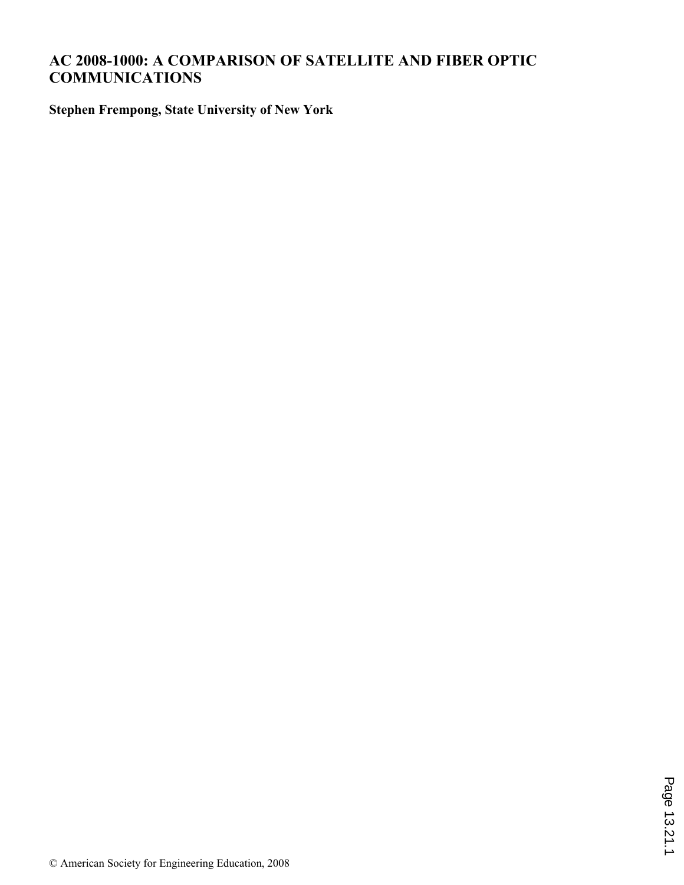## **AC 2008-1000: A COMPARISON OF SATELLITE AND FIBER OPTIC COMMUNICATIONS**

**Stephen Frempong, State University of New York**